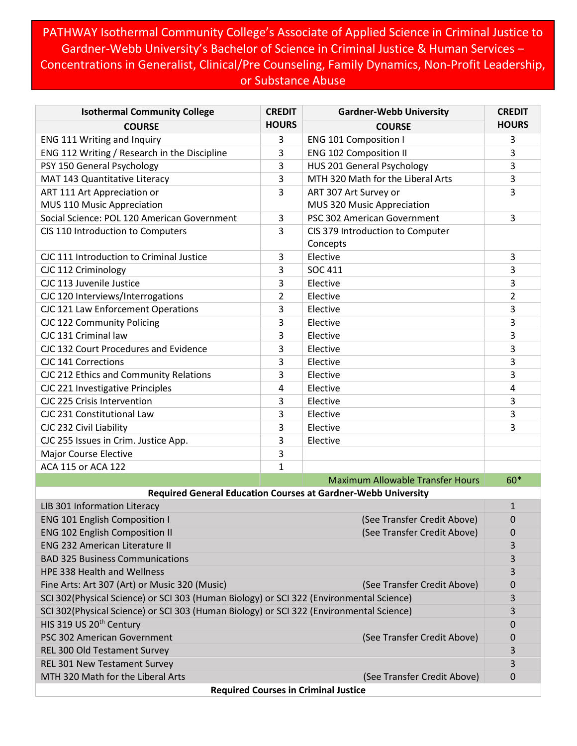PATHWAY Isothermal Community College's Associate of Applied Science in Criminal Justice to Gardner-Webb University's Bachelor of Science in Criminal Justice & Human Services – Concentrations in Generalist, Clinical/Pre Counseling, Family Dynamics, Non-Profit Leadership, or Substance Abuse

| <b>Isothermal Community College</b>                                                     | <b>CREDIT</b>  | <b>Gardner-Webb University</b>          | <b>CREDIT</b>  |
|-----------------------------------------------------------------------------------------|----------------|-----------------------------------------|----------------|
| <b>COURSE</b>                                                                           | <b>HOURS</b>   | <b>COURSE</b>                           | <b>HOURS</b>   |
| ENG 111 Writing and Inquiry                                                             | 3              | <b>ENG 101 Composition I</b>            | 3              |
| ENG 112 Writing / Research in the Discipline                                            | 3              | <b>ENG 102 Composition II</b>           | 3              |
| PSY 150 General Psychology                                                              | 3              | HUS 201 General Psychology              | 3              |
| MAT 143 Quantitative Literacy                                                           | 3              | MTH 320 Math for the Liberal Arts       | 3              |
| ART 111 Art Appreciation or                                                             | 3              | ART 307 Art Survey or                   | 3              |
| MUS 110 Music Appreciation                                                              |                | MUS 320 Music Appreciation              |                |
| Social Science: POL 120 American Government                                             | 3              | PSC 302 American Government             | 3              |
| CIS 110 Introduction to Computers                                                       | 3              | CIS 379 Introduction to Computer        |                |
|                                                                                         |                | Concepts                                |                |
| CJC 111 Introduction to Criminal Justice                                                | 3              | Elective                                | 3              |
| CJC 112 Criminology                                                                     | 3              | <b>SOC 411</b>                          | 3              |
| CJC 113 Juvenile Justice                                                                | 3              | Elective                                | 3              |
| CJC 120 Interviews/Interrogations                                                       | $\overline{2}$ | Elective                                | 2              |
| CJC 121 Law Enforcement Operations                                                      | 3              | Elective                                | 3              |
| CJC 122 Community Policing                                                              | 3              | Elective                                | 3              |
| CJC 131 Criminal law                                                                    | 3              | Elective                                | 3              |
| CJC 132 Court Procedures and Evidence                                                   | 3              | Elective                                | 3              |
| <b>CJC 141 Corrections</b>                                                              | 3              | Elective                                | 3              |
| CJC 212 Ethics and Community Relations                                                  | 3              | Elective                                | 3              |
| CJC 221 Investigative Principles                                                        | 4              | Elective                                | $\overline{4}$ |
| CJC 225 Crisis Intervention                                                             | 3              | Elective                                | 3              |
| CJC 231 Constitutional Law                                                              | 3              | Elective                                | 3              |
| CJC 232 Civil Liability                                                                 | 3              | Elective                                | 3              |
| CJC 255 Issues in Crim. Justice App.                                                    | 3              | Elective                                |                |
| <b>Major Course Elective</b>                                                            | $\mathsf{3}$   |                                         |                |
| ACA 115 or ACA 122                                                                      | $\mathbf{1}$   |                                         |                |
|                                                                                         |                | <b>Maximum Allowable Transfer Hours</b> | $60*$          |
| <b>Required General Education Courses at Gardner-Webb University</b>                    |                |                                         |                |
| LIB 301 Information Literacy                                                            |                |                                         | $\mathbf{1}$   |
| <b>ENG 101 English Composition I</b><br>(See Transfer Credit Above)                     |                |                                         | 0              |
| (See Transfer Credit Above)<br><b>ENG 102 English Composition II</b>                    |                |                                         | 0              |
| <b>ENG 232 American Literature II</b>                                                   |                |                                         | 3              |
| <b>BAD 325 Business Communications</b>                                                  |                |                                         | 3              |
| <b>HPE 338 Health and Wellness</b>                                                      |                |                                         | 3              |
| Fine Arts: Art 307 (Art) or Music 320 (Music)<br>(See Transfer Credit Above)            |                |                                         | 0              |
| SCI 302(Physical Science) or SCI 303 (Human Biology) or SCI 322 (Environmental Science) |                |                                         | 3              |
| SCI 302(Physical Science) or SCI 303 (Human Biology) or SCI 322 (Environmental Science) |                |                                         | 3              |
| HIS 319 US 20 <sup>th</sup> Century                                                     |                |                                         |                |
| PSC 302 American Government                                                             |                | (See Transfer Credit Above)             | 0              |
| REL 300 Old Testament Survey                                                            |                |                                         | 3              |
| REL 301 New Testament Survey                                                            |                |                                         | 3              |
| MTH 320 Math for the Liberal Arts                                                       |                | (See Transfer Credit Above)             | 0              |

## **Required Courses in Criminal Justice**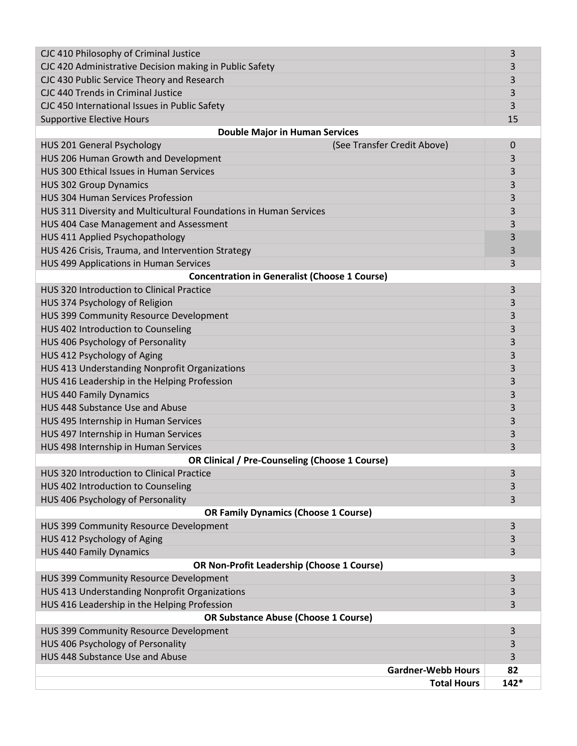| CJC 410 Philosophy of Criminal Justice                            | 3      |  |  |
|-------------------------------------------------------------------|--------|--|--|
| CJC 420 Administrative Decision making in Public Safety           | 3      |  |  |
| CJC 430 Public Service Theory and Research                        | 3      |  |  |
| CJC 440 Trends in Criminal Justice                                | 3      |  |  |
| CJC 450 International Issues in Public Safety                     | 3      |  |  |
| <b>Supportive Elective Hours</b>                                  | 15     |  |  |
| <b>Double Major in Human Services</b>                             |        |  |  |
| (See Transfer Credit Above)<br>HUS 201 General Psychology         | 0      |  |  |
| HUS 206 Human Growth and Development                              | 3      |  |  |
| HUS 300 Ethical Issues in Human Services                          | 3      |  |  |
| <b>HUS 302 Group Dynamics</b>                                     | 3      |  |  |
| <b>HUS 304 Human Services Profession</b>                          | 3      |  |  |
| HUS 311 Diversity and Multicultural Foundations in Human Services | 3      |  |  |
| HUS 404 Case Management and Assessment                            | 3      |  |  |
| HUS 411 Applied Psychopathology                                   | 3      |  |  |
| HUS 426 Crisis, Trauma, and Intervention Strategy                 | 3      |  |  |
| HUS 499 Applications in Human Services                            | 3      |  |  |
| <b>Concentration in Generalist (Choose 1 Course)</b>              |        |  |  |
| HUS 320 Introduction to Clinical Practice                         | 3      |  |  |
| HUS 374 Psychology of Religion                                    | 3      |  |  |
| HUS 399 Community Resource Development                            | 3      |  |  |
| HUS 402 Introduction to Counseling                                | 3      |  |  |
| HUS 406 Psychology of Personality                                 | 3      |  |  |
| HUS 412 Psychology of Aging                                       | 3      |  |  |
| HUS 413 Understanding Nonprofit Organizations                     | 3      |  |  |
| HUS 416 Leadership in the Helping Profession                      | 3      |  |  |
| <b>HUS 440 Family Dynamics</b>                                    | 3      |  |  |
| HUS 448 Substance Use and Abuse                                   | 3      |  |  |
| HUS 495 Internship in Human Services                              | 3      |  |  |
| HUS 497 Internship in Human Services                              | 3      |  |  |
| HUS 498 Internship in Human Services                              | 3      |  |  |
| <b>OR Clinical / Pre-Counseling (Choose 1 Course)</b>             |        |  |  |
| HUS 320 Introduction to Clinical Practice                         | 3      |  |  |
| HUS 402 Introduction to Counseling                                | 3      |  |  |
| HUS 406 Psychology of Personality                                 | 3      |  |  |
| <b>OR Family Dynamics (Choose 1 Course)</b>                       |        |  |  |
| HUS 399 Community Resource Development                            | 3      |  |  |
| HUS 412 Psychology of Aging                                       | 3      |  |  |
| <b>HUS 440 Family Dynamics</b>                                    | 3      |  |  |
| OR Non-Profit Leadership (Choose 1 Course)                        |        |  |  |
| HUS 399 Community Resource Development                            | 3      |  |  |
| HUS 413 Understanding Nonprofit Organizations                     | 3      |  |  |
| HUS 416 Leadership in the Helping Profession                      | 3      |  |  |
| <b>OR Substance Abuse (Choose 1 Course)</b>                       |        |  |  |
| HUS 399 Community Resource Development                            | 3      |  |  |
| HUS 406 Psychology of Personality                                 | 3      |  |  |
| HUS 448 Substance Use and Abuse                                   | 3      |  |  |
| <b>Gardner-Webb Hours</b>                                         | 82     |  |  |
| <b>Total Hours</b>                                                | $142*$ |  |  |